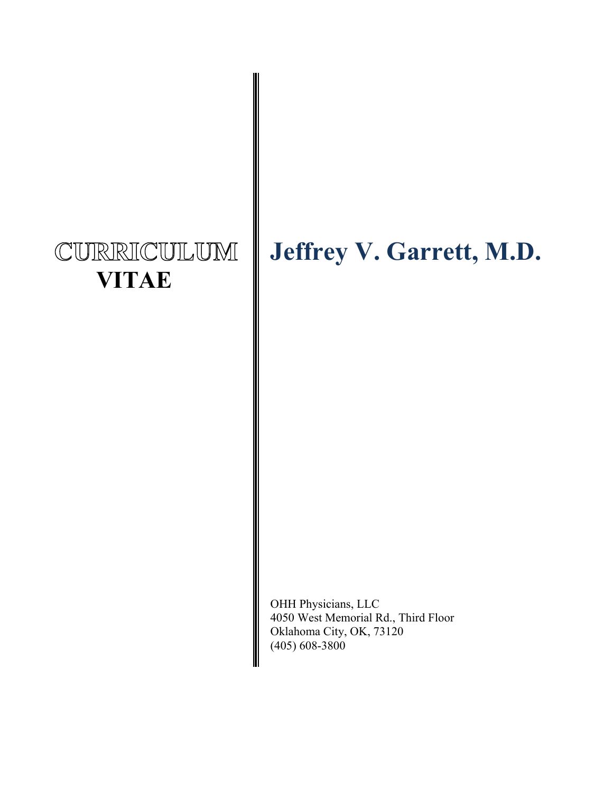## CURRICULUM  **VITAE**

# **Jeffrey V. Garrett, M.D.**

OHH Physicians, LLC 4050 West Memorial Rd., Third Floor Oklahoma City, OK, 73120 (405) 608-3800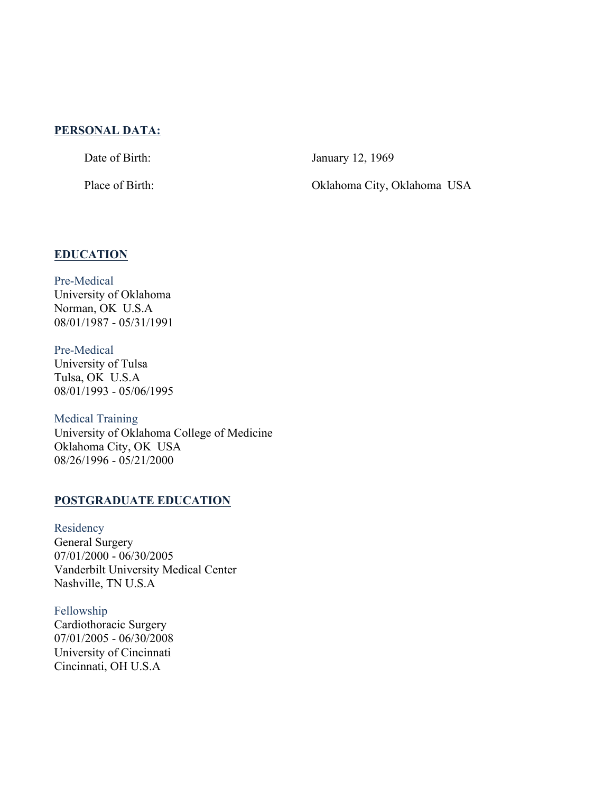## **PERSONAL DATA:**

Date of Birth: January 12, 1969

Place of Birth: Oklahoma City, Oklahoma USA

## **EDUCATION**

Pre-Medical University of Oklahoma Norman, OK U.S.A 08/01/1987 - 05/31/1991

Pre-Medical University of Tulsa Tulsa, OK U.S.A 08/01/1993 - 05/06/1995

Medical Training University of Oklahoma College of Medicine Oklahoma City, OK USA 08/26/1996 - 05/21/2000

## **POSTGRADUATE EDUCATION**

Residency General Surgery 07/01/2000 - 06/30/2005 Vanderbilt University Medical Center Nashville, TN U.S.A

Fellowship Cardiothoracic Surgery 07/01/2005 - 06/30/2008 University of Cincinnati Cincinnati, OH U.S.A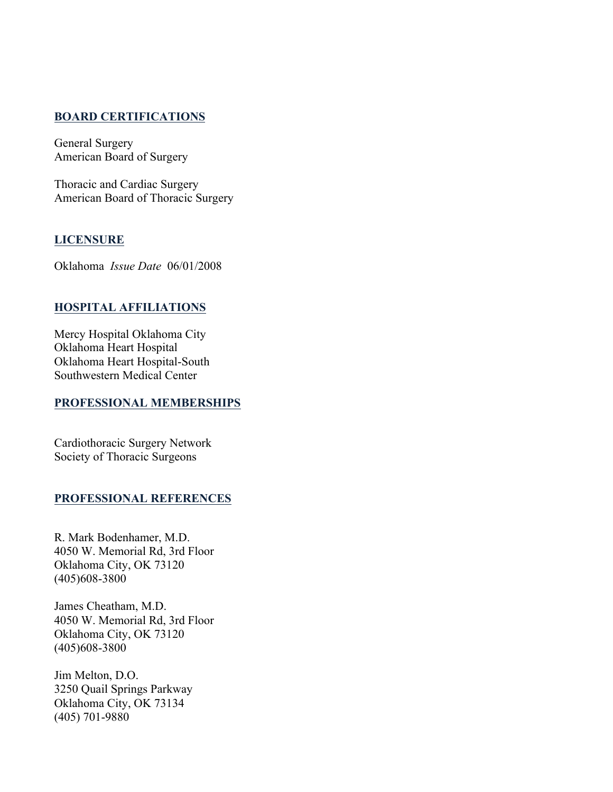## **BOARD CERTIFICATIONS**

General Surgery American Board of Surgery

Thoracic and Cardiac Surgery American Board of Thoracic Surgery

## **LICENSURE**

Oklahoma *Issue Date* 06/01/2008

## **HOSPITAL AFFILIATIONS**

Mercy Hospital Oklahoma City Oklahoma Heart Hospital Oklahoma Heart Hospital-South Southwestern Medical Center

## **PROFESSIONAL MEMBERSHIPS**

Cardiothoracic Surgery Network Society of Thoracic Surgeons

## **PROFESSIONAL REFERENCES**

R. Mark Bodenhamer, M.D. 4050 W. Memorial Rd, 3rd Floor Oklahoma City, OK 73120 (405)608-3800

James Cheatham, M.D. 4050 W. Memorial Rd, 3rd Floor Oklahoma City, OK 73120 (405)608-3800

Jim Melton, D.O. 3250 Quail Springs Parkway Oklahoma City, OK 73134 (405) 701-9880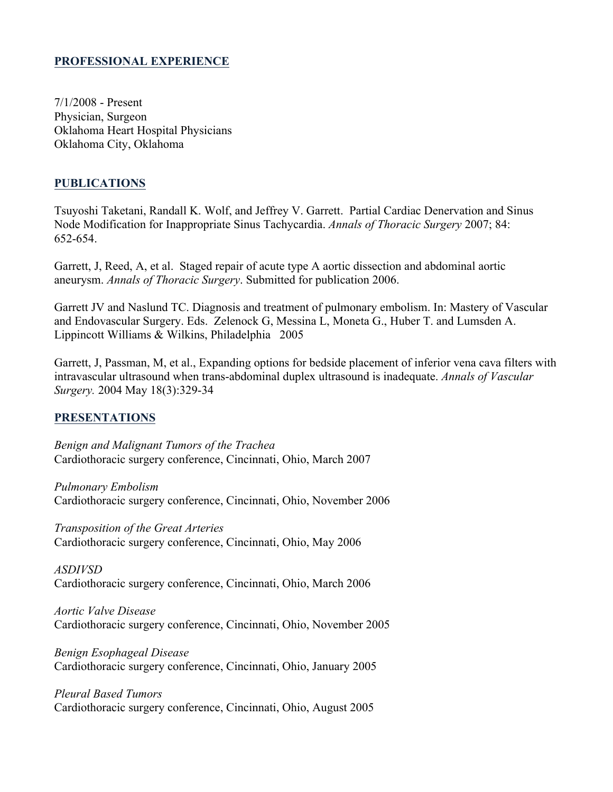## **PROFESSIONAL EXPERIENCE**

7/1/2008 - Present Physician, Surgeon Oklahoma Heart Hospital Physicians Oklahoma City, Oklahoma

## **PUBLICATIONS**

Tsuyoshi Taketani, Randall K. Wolf, and Jeffrey V. Garrett. Partial Cardiac Denervation and Sinus Node Modification for Inappropriate Sinus Tachycardia. *Annals of Thoracic Surgery* 2007; 84: 652-654.

Garrett, J, Reed, A, et al. Staged repair of acute type A aortic dissection and abdominal aortic aneurysm. *Annals of Thoracic Surgery*. Submitted for publication 2006.

Garrett JV and Naslund TC. Diagnosis and treatment of pulmonary embolism. In: Mastery of Vascular and Endovascular Surgery. Eds. Zelenock G, Messina L, Moneta G., Huber T. and Lumsden A. Lippincott Williams & Wilkins, Philadelphia 2005

Garrett, J, Passman, M, et al., Expanding options for bedside placement of inferior vena cava filters with intravascular ultrasound when trans-abdominal duplex ultrasound is inadequate. *Annals of Vascular Surgery.* 2004 May 18(3):329-34

## **PRESENTATIONS**

*Benign and Malignant Tumors of the Trachea* Cardiothoracic surgery conference, Cincinnati, Ohio, March 2007

*Pulmonary Embolism* Cardiothoracic surgery conference, Cincinnati, Ohio, November 2006

*Transposition of the Great Arteries* Cardiothoracic surgery conference, Cincinnati, Ohio, May 2006

*ASDIVSD* Cardiothoracic surgery conference, Cincinnati, Ohio, March 2006

*Aortic Valve Disease* Cardiothoracic surgery conference, Cincinnati, Ohio, November 2005

*Benign Esophageal Disease* Cardiothoracic surgery conference, Cincinnati, Ohio, January 2005

*Pleural Based Tumors* Cardiothoracic surgery conference, Cincinnati, Ohio, August 2005